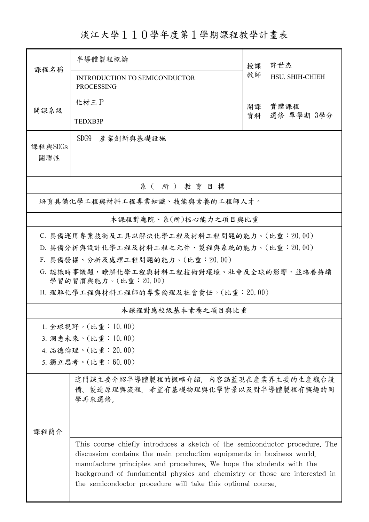淡江大學110學年度第1學期課程教學計畫表

| 課程名稱                                       | 半導體製程概論                                                                                                                                                                                                                                                                                                                                                                   | 授課 | 許世杰<br>HSU, SHIH-CHIEH |  |  |  |  |
|--------------------------------------------|---------------------------------------------------------------------------------------------------------------------------------------------------------------------------------------------------------------------------------------------------------------------------------------------------------------------------------------------------------------------------|----|------------------------|--|--|--|--|
|                                            | INTRODUCTION TO SEMICONDUCTOR<br><b>PROCESSING</b>                                                                                                                                                                                                                                                                                                                        | 教師 |                        |  |  |  |  |
| 開課系級                                       | 化材三P                                                                                                                                                                                                                                                                                                                                                                      | 開課 | 實體課程                   |  |  |  |  |
|                                            | TEDXB3P                                                                                                                                                                                                                                                                                                                                                                   | 資料 | 選修 單學期 3學分             |  |  |  |  |
| 課程與SDGs<br>關聯性                             | SDG9<br>產業創新與基礎設施                                                                                                                                                                                                                                                                                                                                                         |    |                        |  |  |  |  |
| 系(所)教育目標                                   |                                                                                                                                                                                                                                                                                                                                                                           |    |                        |  |  |  |  |
| 培育具備化學工程與材料工程專業知識、技能與素養的工程師人才。             |                                                                                                                                                                                                                                                                                                                                                                           |    |                        |  |  |  |  |
| 本課程對應院、系(所)核心能力之項目與比重                      |                                                                                                                                                                                                                                                                                                                                                                           |    |                        |  |  |  |  |
| C. 具備運用專業技術及工具以解決化學工程及材料工程問題的能力。(比重:20.00) |                                                                                                                                                                                                                                                                                                                                                                           |    |                        |  |  |  |  |
|                                            | D. 具備分析與設計化學工程及材料工程之元件、製程與系統的能力。(比重:20.00)                                                                                                                                                                                                                                                                                                                                |    |                        |  |  |  |  |
|                                            | F. 具備發掘、分析及處理工程問題的能力。(比重: 20.00)                                                                                                                                                                                                                                                                                                                                          |    |                        |  |  |  |  |
|                                            | G. 認識時事議題,瞭解化學工程與材料工程技術對環境、社會及全球的影響,並培養持續<br>學習的習慣與能力。(比重:20.00)                                                                                                                                                                                                                                                                                                          |    |                        |  |  |  |  |
|                                            | H. 理解化學工程與材料工程師的專業倫理及社會責任。(比重:20.00)                                                                                                                                                                                                                                                                                                                                      |    |                        |  |  |  |  |
| 本課程對應校級基本素養之項目與比重                          |                                                                                                                                                                                                                                                                                                                                                                           |    |                        |  |  |  |  |
|                                            | 1. 全球視野。(比重:10.00)                                                                                                                                                                                                                                                                                                                                                        |    |                        |  |  |  |  |
| 3. 洞悉未來。(比重:10.00)                         |                                                                                                                                                                                                                                                                                                                                                                           |    |                        |  |  |  |  |
| 4. 品德倫理。(比重: 20.00)                        |                                                                                                                                                                                                                                                                                                                                                                           |    |                        |  |  |  |  |
| 5. 獨立思考。(比重:60.00)                         |                                                                                                                                                                                                                                                                                                                                                                           |    |                        |  |  |  |  |
|                                            | 這門課主要介紹半導體製程的概略介紹,內容涵蓋現在產業界主要的生產機台設<br>備、製造原理與流程、希望有基礎物理與化學背景以及對半導體製程有興趣的同<br>學再來選修。                                                                                                                                                                                                                                                                                      |    |                        |  |  |  |  |
|                                            |                                                                                                                                                                                                                                                                                                                                                                           |    |                        |  |  |  |  |
| 课程简介                                       | This course chiefly introduces a sketch of the semiconductor procedure. The<br>discussion contains the main production equipments in business world,<br>manufacture principles and procedures. We hope the students with the<br>background of fundamental physics and chemistry or those are interested in<br>the semicondoctor procedure will take this optional course. |    |                        |  |  |  |  |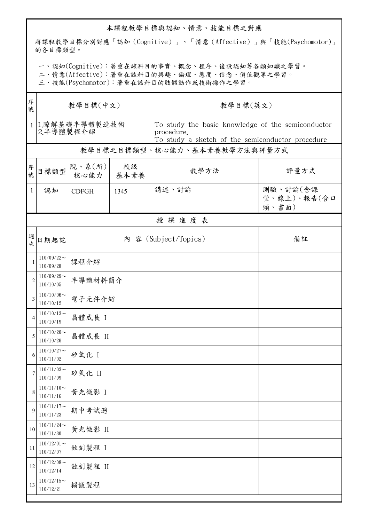## 本課程教學目標與認知、情意、技能目標之對應

將課程教學目標分別對應「認知(Cognitive)」、「情意(Affective)」與「技能(Psychomotor)」 的各目標類型。

一、認知(Cognitive):著重在該科目的事實、概念、程序、後設認知等各類知識之學習。

二、情意(Affective):著重在該科目的興趣、倫理、態度、信念、價值觀等之學習。

三、技能(Psychomotor):著重在該科目的肢體動作或技術操作之學習。

| 序<br>號         | 教學目標(中文)                     |                            |            | 教學目標(英文)                                                                                                            |                                  |  |  |  |  |
|----------------|------------------------------|----------------------------|------------|---------------------------------------------------------------------------------------------------------------------|----------------------------------|--|--|--|--|
|                | 1 1.瞭解基礎半導體製造技術<br>2.半導體製程介紹 |                            |            | To study the basic knowledge of the semiconductor<br>procedure.<br>To study a sketch of the semiconductor procedure |                                  |  |  |  |  |
|                |                              |                            |            | 教學目標之目標類型、核心能力、基本素養教學方法與評量方式                                                                                        |                                  |  |  |  |  |
| 序號             | 目標類型                         | 院、系(所)<br>核心能力             | 校級<br>基本素養 | 教學方法                                                                                                                | 評量方式                             |  |  |  |  |
| $\mathbf{1}$   | 認知                           | <b>CDFGH</b>               | 1345       | 講述、討論                                                                                                               | 測驗、討論(含課<br>堂、線上)、報告(含口<br>頭、書面) |  |  |  |  |
|                | 授課進度表                        |                            |            |                                                                                                                     |                                  |  |  |  |  |
| 週次             | 日期起訖                         | 內 容 (Subject/Topics)<br>備註 |            |                                                                                                                     |                                  |  |  |  |  |
| 1              | $110/09/22$ ~<br>110/09/28   | 課程介紹                       |            |                                                                                                                     |                                  |  |  |  |  |
| $\overline{2}$ | $110/09/29$ ~<br>110/10/05   | 半導體材料簡介                    |            |                                                                                                                     |                                  |  |  |  |  |
| 3              | $110/10/06$ ~<br>110/10/12   | 電子元件介紹                     |            |                                                                                                                     |                                  |  |  |  |  |
| $\overline{4}$ | $110/10/13$ ~<br>110/10/19   | 晶體成長 I                     |            |                                                                                                                     |                                  |  |  |  |  |
| 5              | $110/10/20$ ~<br>110/10/26   | 晶體成長 II                    |            |                                                                                                                     |                                  |  |  |  |  |
| 6              | $110/10/27$ ~<br>110/11/02   | 矽氧化 I                      |            |                                                                                                                     |                                  |  |  |  |  |
| 7              | $110/11/03$ ~<br>110/11/09   | 矽氧化 II                     |            |                                                                                                                     |                                  |  |  |  |  |
| 8              | $110/11/10$ ~<br>110/11/16   | 黃光微影 I                     |            |                                                                                                                     |                                  |  |  |  |  |
| 9              | $110/11/17$ ~<br>110/11/23   | 期中考試週                      |            |                                                                                                                     |                                  |  |  |  |  |
| 10             | $110/11/24$ ~<br>110/11/30   | 黃光微影 II                    |            |                                                                                                                     |                                  |  |  |  |  |
| 11             | $110/12/01$ ~<br>110/12/07   | 蝕刻製程 I                     |            |                                                                                                                     |                                  |  |  |  |  |
| 12             | $110/12/08$ ~<br>110/12/14   | 蝕刻製程 II                    |            |                                                                                                                     |                                  |  |  |  |  |
| 13             | $110/12/15$ ~<br>110/12/21   | 擴散製程                       |            |                                                                                                                     |                                  |  |  |  |  |